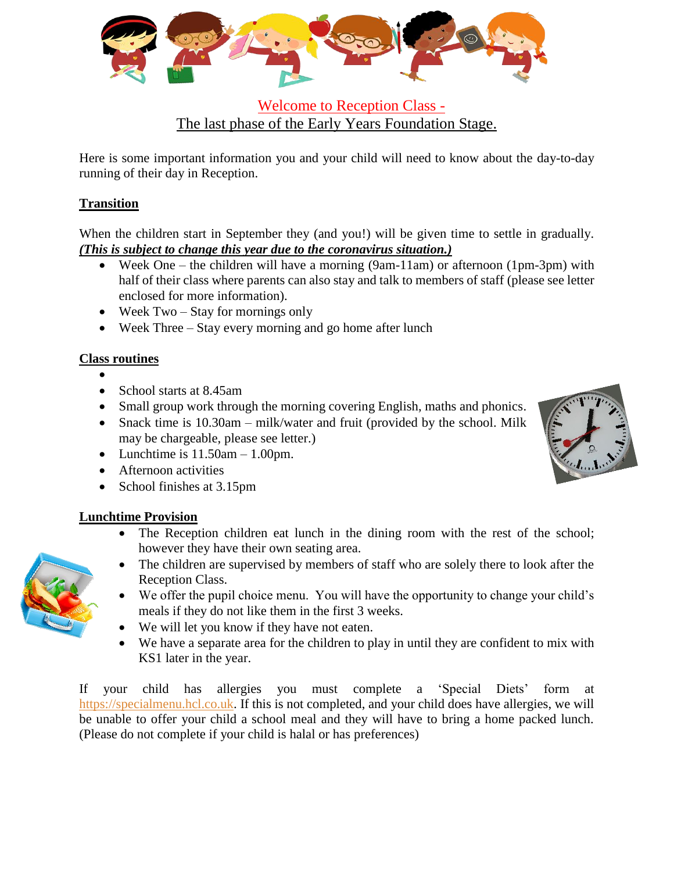

# Welcome to Reception Class - The last phase of the Early Years Foundation Stage.

Here is some important information you and your child will need to know about the day-to-day running of their day in Reception.

## **Transition**

When the children start in September they (and you!) will be given time to settle in gradually. *(This is subject to change this year due to the coronavirus situation.)*

- Week One the children will have a morning (9am-11am) or afternoon (1pm-3pm) with half of their class where parents can also stay and talk to members of staff (please see letter enclosed for more information).
- Week Two Stay for mornings only
- Week Three Stay every morning and go home after lunch

## **Class routines**

- $\bullet$
- School starts at 8.45am
- Small group work through the morning covering English, maths and phonics.
- Snack time is 10.30am milk/water and fruit (provided by the school. Milk may be chargeable, please see letter.)
- Lunchtime is  $11.50am 1.00pm$ .
- Afternoon activities
- School finishes at 3.15pm

## **Lunchtime Provision**

- The Reception children eat lunch in the dining room with the rest of the school; however they have their own seating area.
- The children are supervised by members of staff who are solely there to look after the Reception Class.
- We offer the pupil choice menu. You will have the opportunity to change your child's meals if they do not like them in the first 3 weeks.
- We will let you know if they have not eaten.
- We have a separate area for the children to play in until they are confident to mix with KS1 later in the year.

If your child has allergies you must complete a 'Special Diets' form at [https://specialmenu.hcl.co.uk.](https://specialmenu.hcl.co.uk/) If this is not completed, and your child does have allergies, we will be unable to offer your child a school meal and they will have to bring a home packed lunch. (Please do not complete if your child is halal or has preferences)



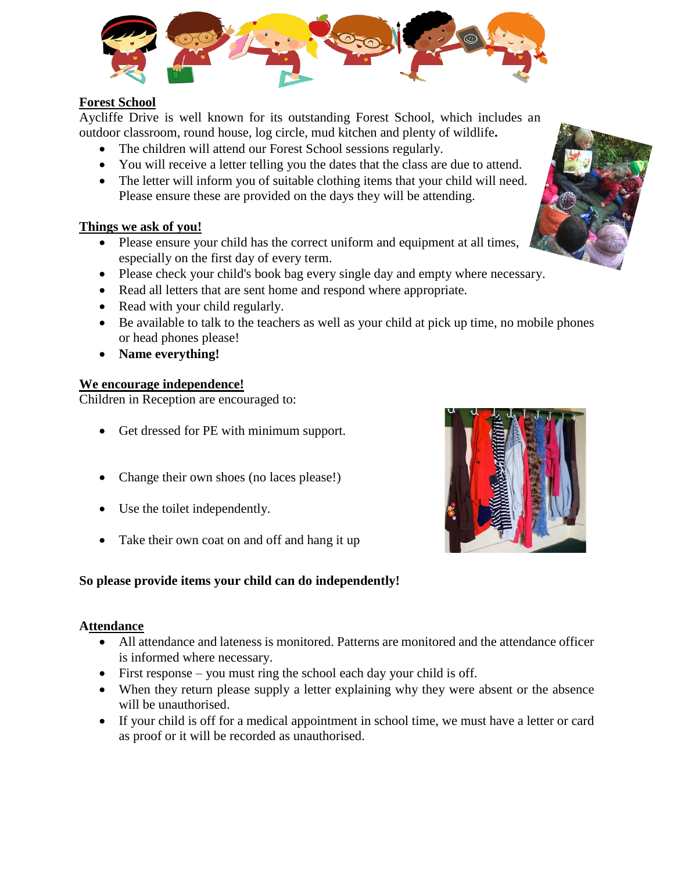

## **Forest School**

Aycliffe Drive is well known for its outstanding Forest School, which includes an outdoor classroom, round house, log circle, mud kitchen and plenty of wildlife**.**

- The children will attend our Forest School sessions regularly.
- You will receive a letter telling you the dates that the class are due to attend.
- The letter will inform you of suitable clothing items that your child will need. Please ensure these are provided on the days they will be attending.

## **Things we ask of you!**

- Please ensure your child has the correct uniform and equipment at all times, especially on the first day of every term.
- Please check your child's book bag every single day and empty where necessary.
- Read all letters that are sent home and respond where appropriate.
- Read with your child regularly.
- Be available to talk to the teachers as well as your child at pick up time, no mobile phones or head phones please!
- **Name everything!**

## **We encourage independence!**

Children in Reception are encouraged to:

- Get dressed for PE with minimum support.
- Change their own shoes (no laces please!)
- Use the toilet independently.
- Take their own coat on and off and hang it up

## **So please provide items your child can do independently!**

## **Attendance**

- All attendance and lateness is monitored. Patterns are monitored and the attendance officer is informed where necessary.
- $\bullet$  First response you must ring the school each day your child is off.
- When they return please supply a letter explaining why they were absent or the absence will be unauthorised.
- If your child is off for a medical appointment in school time, we must have a letter or card as proof or it will be recorded as unauthorised.



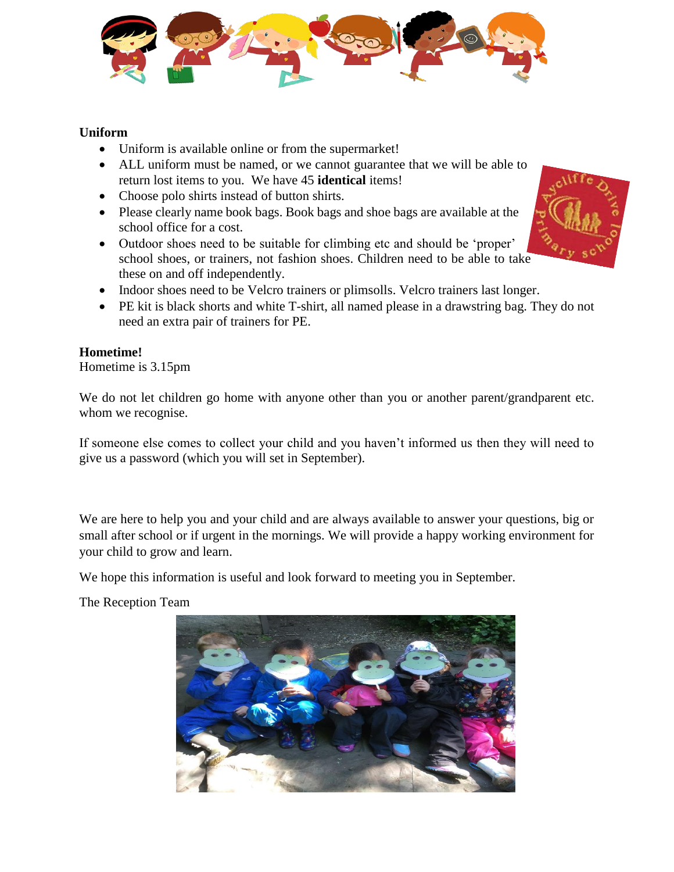

#### **Uniform**

- Uniform is available online or from the supermarket!
- ALL uniform must be named, or we cannot guarantee that we will be able to return lost items to you. We have 45 **identical** items!
- Choose polo shirts instead of button shirts.
- Please clearly name book bags. Book bags and shoe bags are available at the school office for a cost.
- Outdoor shoes need to be suitable for climbing etc and should be 'proper' school shoes, or trainers, not fashion shoes. Children need to be able to take these on and off independently.



- Indoor shoes need to be Velcro trainers or plimsolls. Velcro trainers last longer.
- PE kit is black shorts and white T-shirt, all named please in a drawstring bag. They do not need an extra pair of trainers for PE.

#### **Hometime!**

Hometime is 3.15pm

We do not let children go home with anyone other than you or another parent/grandparent etc. whom we recognise.

If someone else comes to collect your child and you haven't informed us then they will need to give us a password (which you will set in September).

We are here to help you and your child and are always available to answer your questions, big or small after school or if urgent in the mornings. We will provide a happy working environment for your child to grow and learn.

We hope this information is useful and look forward to meeting you in September.

The Reception Team